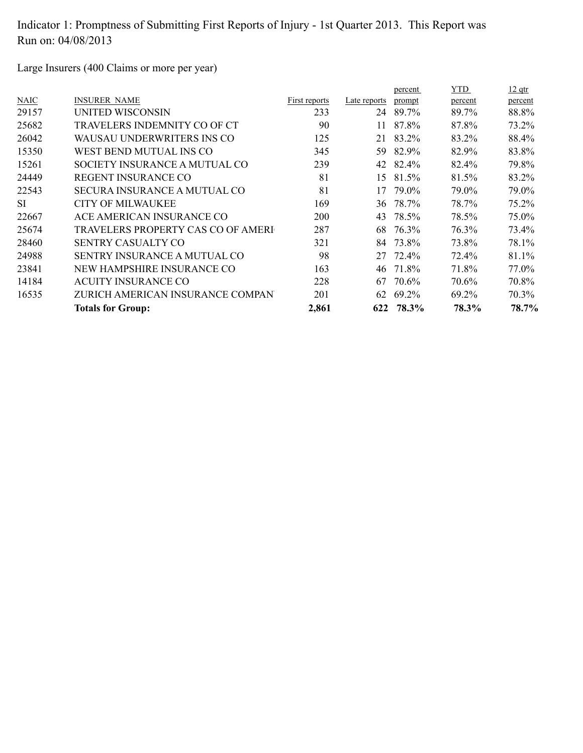Large Insurers (400 Claims or more per year)

|             |                                     |               |              | percent | <b>YTD</b> | $12$ qtr |
|-------------|-------------------------------------|---------------|--------------|---------|------------|----------|
| <b>NAIC</b> | <b>INSURER NAME</b>                 | First reports | Late reports | prompt  | percent    | percent  |
| 29157       | UNITED WISCONSIN                    | 233           | 24           | 89.7%   | 89.7%      | 88.8%    |
| 25682       | TRAVELERS INDEMNITY CO OF CT        | 90            | 11           | 87.8%   | 87.8%      | 73.2%    |
| 26042       | WAUSAU UNDERWRITERS INS CO          | 125           | 21           | 83.2%   | 83.2%      | 88.4%    |
| 15350       | WEST BEND MUTUAL INS CO             | 345           | 59           | 82.9%   | 82.9%      | 83.8%    |
| 15261       | SOCIETY INSURANCE A MUTUAL CO       | 239           | 42           | 82.4%   | 82.4%      | 79.8%    |
| 24449       | <b>REGENT INSURANCE CO</b>          | 81            | 15           | 81.5%   | 81.5%      | 83.2%    |
| 22543       | <b>SECURA INSURANCE A MUTUAL CO</b> | 81            | 17           | 79.0%   | 79.0%      | 79.0%    |
| <b>SI</b>   | CITY OF MILWAUKEE                   | 169           | 36           | 78.7%   | 78.7%      | 75.2%    |
| 22667       | ACE AMERICAN INSURANCE CO           | 200           | 43           | 78.5%   | 78.5%      | 75.0%    |
| 25674       | TRAVELERS PROPERTY CAS CO OF AMERI  | 287           | 68           | 76.3%   | 76.3%      | 73.4%    |
| 28460       | <b>SENTRY CASUALTY CO</b>           | 321           | 84           | 73.8%   | 73.8%      | 78.1%    |
| 24988       | <b>SENTRY INSURANCE A MUTUAL CO</b> | 98            | 27           | 72.4%   | 72.4%      | 81.1%    |
| 23841       | NEW HAMPSHIRE INSURANCE CO          | 163           | 46           | 71.8%   | 71.8%      | 77.0%    |
| 14184       | <b>ACUITY INSURANCE CO</b>          | 228           | 67           | 70.6%   | 70.6%      | 70.8%    |
| 16535       | ZURICH AMERICAN INSURANCE COMPAN    | 201           | 62           | 69.2%   | 69.2%      | 70.3%    |
|             | <b>Totals for Group:</b>            | 2,861         | 622          | 78.3%   | 78.3%      | 78.7%    |
|             |                                     |               |              |         |            |          |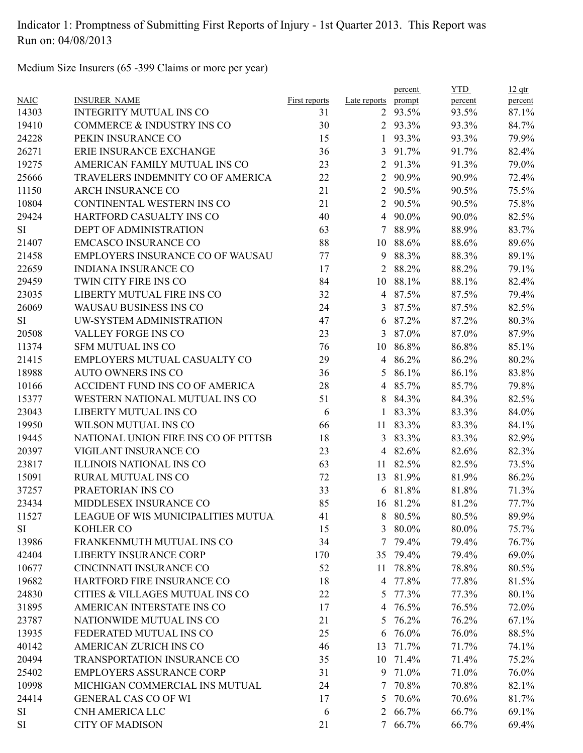Medium Size Insurers (65 -399 Claims or more per year)

|             |                                      |               |                | percent  | <b>YTD</b> | $12$ qtr |
|-------------|--------------------------------------|---------------|----------------|----------|------------|----------|
| <b>NAIC</b> | <b>INSURER NAME</b>                  | First reports | Late reports   | prompt   | percent    | percent  |
| 14303       | <b>INTEGRITY MUTUAL INS CO</b>       | 31            |                | 2 93.5%  | 93.5%      | 87.1%    |
| 19410       | COMMERCE & INDUSTRY INS CO           | 30            |                | 2 93.3%  | 93.3%      | 84.7%    |
| 24228       | PEKIN INSURANCE CO                   | 15            | 1              | 93.3%    | 93.3%      | 79.9%    |
| 26271       | ERIE INSURANCE EXCHANGE              | 36            | 3              | 91.7%    | 91.7%      | 82.4%    |
| 19275       | AMERICAN FAMILY MUTUAL INS CO        | 23            | $\overline{2}$ | 91.3%    | 91.3%      | 79.0%    |
| 25666       | TRAVELERS INDEMNITY CO OF AMERICA    | 22            |                | 2 90.9%  | 90.9%      | 72.4%    |
| 11150       | <b>ARCH INSURANCE CO</b>             | 21            |                | 2 90.5%  | 90.5%      | 75.5%    |
| 10804       | CONTINENTAL WESTERN INS CO           | 21            |                | 2 90.5%  | 90.5%      | 75.8%    |
| 29424       | HARTFORD CASUALTY INS CO             | 40            |                | 4 90.0%  | 90.0%      | 82.5%    |
| SI          | DEPT OF ADMINISTRATION               | 63            | $\tau$         | 88.9%    | 88.9%      | 83.7%    |
| 21407       | <b>EMCASCO INSURANCE CO</b>          | 88            | 10             | 88.6%    | 88.6%      | 89.6%    |
| 21458       | EMPLOYERS INSURANCE CO OF WAUSAU     | 77            | 9              | 88.3%    | 88.3%      | 89.1%    |
| 22659       | <b>INDIANA INSURANCE CO</b>          | 17            | $\overline{2}$ | 88.2%    | 88.2%      | 79.1%    |
| 29459       | TWIN CITY FIRE INS CO                | 84            | 10             | 88.1%    | 88.1%      | 82.4%    |
| 23035       | LIBERTY MUTUAL FIRE INS CO           | 32            |                | 4 87.5%  | 87.5%      | 79.4%    |
| 26069       | WAUSAU BUSINESS INS CO               | 24            |                | 3 87.5%  | 87.5%      | 82.5%    |
| SI          | UW-SYSTEM ADMINISTRATION             | 47            | 6              | 87.2%    | 87.2%      | 80.3%    |
| 20508       | VALLEY FORGE INS CO                  | 23            | 3              | 87.0%    | 87.0%      | 87.9%    |
| 11374       | <b>SFM MUTUAL INS CO</b>             | 76            | 10             | 86.8%    | 86.8%      | 85.1%    |
| 21415       | EMPLOYERS MUTUAL CASUALTY CO         | 29            |                | 4 86.2%  | 86.2%      | 80.2%    |
| 18988       | <b>AUTO OWNERS INS CO</b>            | 36            | 5              | 86.1%    | 86.1%      | 83.8%    |
| 10166       | ACCIDENT FUND INS CO OF AMERICA      | 28            |                | 4 85.7%  | 85.7%      | 79.8%    |
| 15377       | WESTERN NATIONAL MUTUAL INS CO       | 51            |                | 8 84.3%  | 84.3%      | 82.5%    |
| 23043       | LIBERTY MUTUAL INS CO                | 6             | $\mathbf{1}$   | 83.3%    | 83.3%      | 84.0%    |
| 19950       | WILSON MUTUAL INS CO                 | 66            | 11             | 83.3%    | 83.3%      | 84.1%    |
| 19445       | NATIONAL UNION FIRE INS CO OF PITTSB | 18            | 3              | 83.3%    | 83.3%      | 82.9%    |
| 20397       | VIGILANT INSURANCE CO                | 23            |                | 4 82.6%  | 82.6%      | 82.3%    |
| 23817       | ILLINOIS NATIONAL INS CO             | 63            | 11             | 82.5%    | 82.5%      | 73.5%    |
| 15091       | RURAL MUTUAL INS CO                  | 72            | 13             | 81.9%    | 81.9%      | 86.2%    |
| 37257       | PRAETORIAN INS CO                    | 33            |                | 6 81.8%  | 81.8%      | 71.3%    |
| 23434       | MIDDLESEX INSURANCE CO               | 85            |                | 16 81.2% | 81.2%      | 77.7%    |
| 11527       | LEAGUE OF WIS MUNICIPALITIES MUTUA   | 41            |                | 8 80.5%  | 80.5%      | 89.9%    |
| SI          | KOHLER CO                            | 15            | 3              | 80.0%    | 80.0%      | 75.7%    |
| 13986       | FRANKENMUTH MUTUAL INS CO            | 34            |                | 7 79.4%  | 79.4%      | 76.7%    |
| 42404       | <b>LIBERTY INSURANCE CORP</b>        | 170           | 35             | 79.4%    | 79.4%      | 69.0%    |
| 10677       | CINCINNATI INSURANCE CO              | 52            | 11             | 78.8%    | 78.8%      | 80.5%    |
| 19682       | HARTFORD FIRE INSURANCE CO           | 18            | 4              | 77.8%    | 77.8%      | 81.5%    |
| 24830       | CITIES & VILLAGES MUTUAL INS CO      | 22            | 5              | 77.3%    | 77.3%      | 80.1%    |
| 31895       | AMERICAN INTERSTATE INS CO           | 17            | 4              | 76.5%    | 76.5%      | 72.0%    |
| 23787       | NATIONWIDE MUTUAL INS CO             | 21            | 5              | 76.2%    | 76.2%      | 67.1%    |
| 13935       | FEDERATED MUTUAL INS CO              | 25            | 6              | 76.0%    | 76.0%      | 88.5%    |
| 40142       | AMERICAN ZURICH INS CO               | 46            | 13             | 71.7%    | 71.7%      | 74.1%    |
| 20494       | TRANSPORTATION INSURANCE CO          | 35            | 10             | 71.4%    | 71.4%      | 75.2%    |
| 25402       | <b>EMPLOYERS ASSURANCE CORP</b>      | 31            | 9              | 71.0%    | 71.0%      | 76.0%    |
| 10998       | MICHIGAN COMMERCIAL INS MUTUAL       | 24            |                | 7 70.8%  | 70.8%      | 82.1%    |
| 24414       | <b>GENERAL CAS CO OF WI</b>          | 17            | 5              | 70.6%    | 70.6%      | 81.7%    |
| SI          | CNH AMERICA LLC                      | 6             |                | 2 66.7%  | 66.7%      | 69.1%    |
| SI          | <b>CITY OF MADISON</b>               | 21            |                | 7 66.7%  | 66.7%      | 69.4%    |
|             |                                      |               |                |          |            |          |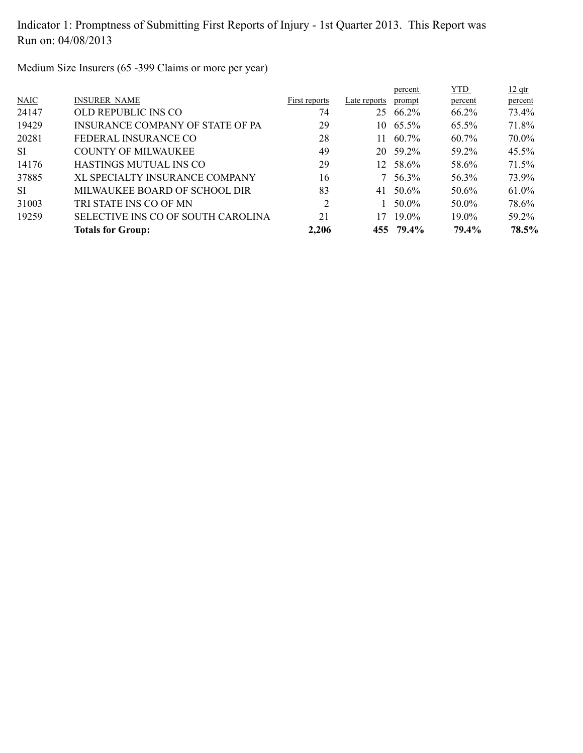Medium Size Insurers (65 -399 Claims or more per year)

|           | <b>Totals for Group:</b>           | 2,206          |              | 455 79.4% | 79.4%      | 78.5%    |
|-----------|------------------------------------|----------------|--------------|-----------|------------|----------|
| 19259     | SELECTIVE INS CO OF SOUTH CAROLINA | 21             | 17           | $19.0\%$  | $19.0\%$   | 59.2%    |
| 31003     | TRI STATE INS CO OF MN             | $\overline{2}$ |              | 50.0%     | 50.0%      | 78.6%    |
| <b>SI</b> | MILWAUKEE BOARD OF SCHOOL DIR      | 83             | 41           | 50.6%     | 50.6%      | 61.0%    |
| 37885     | XL SPECIALTY INSURANCE COMPANY     | 16             |              | 56.3%     | 56.3%      | 73.9%    |
| 14176     | HASTINGS MUTUAL INS CO             | 29             | 12           | 58.6%     | 58.6%      | 71.5%    |
| SI.       | <b>COUNTY OF MILWAUKEE</b>         | 49             |              | 20 59.2%  | 59.2%      | $45.5\%$ |
| 20281     | FEDERAL INSURANCE CO               | 28             | 11           | 60.7%     | $60.7\%$   | 70.0%    |
| 19429     | INSURANCE COMPANY OF STATE OF PA   | 29             |              | 10 65.5%  | 65.5%      | 71.8%    |
| 24147     | OLD REPUBLIC INS CO                | 74             | 25           | 66.2%     | 66.2%      | 73.4%    |
| NAIC      | <b>INSURER NAME</b>                | First reports  | Late reports | prompt    | percent    | percent  |
|           |                                    |                |              | percent   | <b>YTD</b> | $12$ qtr |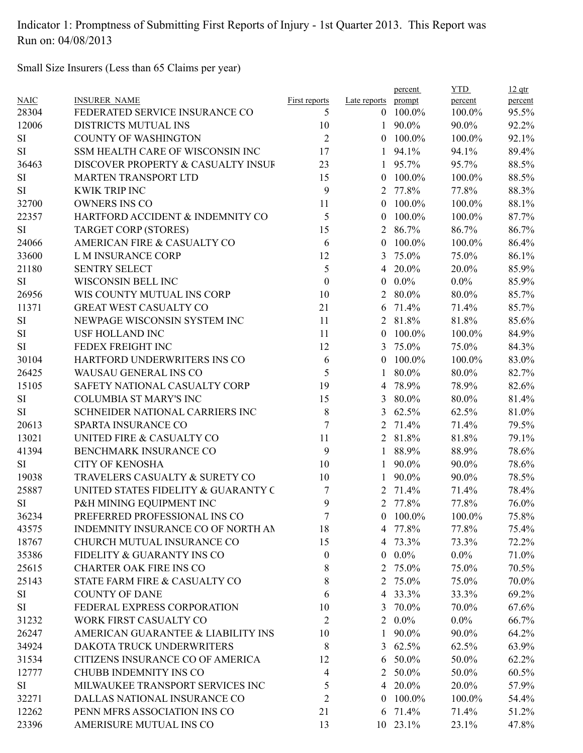Small Size Insurers (Less than 65 Claims per year)

|             |                                     |                      |                  | percent        | <b>YTD</b> | $12$ qtr |
|-------------|-------------------------------------|----------------------|------------------|----------------|------------|----------|
| <b>NAIC</b> | <b>INSURER NAME</b>                 | <b>First reports</b> | Late reports     | prompt         | percent    | percent  |
| 28304       | FEDERATED SERVICE INSURANCE CO      | 5                    | $\overline{0}$   | 100.0%         | 100.0%     | 95.5%    |
| 12006       | DISTRICTS MUTUAL INS                | 10                   | 1                | 90.0%          | 90.0%      | 92.2%    |
| SI          | <b>COUNTY OF WASHINGTON</b>         | $\overline{2}$       | $\theta$         | 100.0%         | 100.0%     | 92.1%    |
| SI          | SSM HEALTH CARE OF WISCONSIN INC    | 17                   | 1                | 94.1%          | 94.1%      | 89.4%    |
| 36463       | DISCOVER PROPERTY & CASUALTY INSUF  | 23                   | $\mathbf{1}$     | 95.7%          | 95.7%      | 88.5%    |
| <b>SI</b>   | <b>MARTEN TRANSPORT LTD</b>         | 15                   | $\theta$         | 100.0%         | 100.0%     | 88.5%    |
| <b>SI</b>   | <b>KWIK TRIP INC</b>                | 9                    | 2                | 77.8%          | 77.8%      | 88.3%    |
| 32700       | <b>OWNERS INS CO</b>                | 11                   | $\theta$         | 100.0%         | 100.0%     | 88.1%    |
| 22357       | HARTFORD ACCIDENT & INDEMNITY CO    | 5                    | $\theta$         | 100.0%         | 100.0%     | 87.7%    |
| <b>SI</b>   | <b>TARGET CORP (STORES)</b>         | 15                   | 2                | 86.7%          | 86.7%      | 86.7%    |
| 24066       | AMERICAN FIRE & CASUALTY CO         | 6                    | $\mathbf{0}$     | 100.0%         | 100.0%     | 86.4%    |
| 33600       | L M INSURANCE CORP                  | 12                   | 3                | 75.0%          | 75.0%      | 86.1%    |
| 21180       | <b>SENTRY SELECT</b>                | 5                    | 4                | 20.0%          | 20.0%      | 85.9%    |
| <b>SI</b>   | WISCONSIN BELL INC                  | $\boldsymbol{0}$     | $\boldsymbol{0}$ | $0.0\%$        | $0.0\%$    | 85.9%    |
| 26956       | WIS COUNTY MUTUAL INS CORP          | 10                   | 2                | 80.0%          | 80.0%      | 85.7%    |
| 11371       | <b>GREAT WEST CASUALTY CO</b>       | 21                   | 6                | 71.4%          | 71.4%      | 85.7%    |
| SI          | NEWPAGE WISCONSIN SYSTEM INC        | 11                   | 2                | 81.8%          | 81.8%      | 85.6%    |
| SI          | <b>USF HOLLAND INC</b>              | 11                   | $\overline{0}$   | 100.0%         | 100.0%     | 84.9%    |
| SI          | FEDEX FREIGHT INC                   | 12                   | 3                | 75.0%          | 75.0%      | 84.3%    |
| 30104       | HARTFORD UNDERWRITERS INS CO        | 6                    | $\theta$         | 100.0%         | 100.0%     | 83.0%    |
| 26425       | WAUSAU GENERAL INS CO               | 5                    | 1                | 80.0%          | 80.0%      | 82.7%    |
| 15105       | SAFETY NATIONAL CASUALTY CORP       | 19                   | 4                | 78.9%          | 78.9%      | 82.6%    |
| SI          | <b>COLUMBIA ST MARY'S INC</b>       | 15                   | 3                | 80.0%          | 80.0%      | 81.4%    |
| <b>SI</b>   | SCHNEIDER NATIONAL CARRIERS INC     | 8                    | 3                | 62.5%          | 62.5%      | 81.0%    |
| 20613       | SPARTA INSURANCE CO                 | $\tau$               | 2                | 71.4%          | 71.4%      | 79.5%    |
| 13021       | UNITED FIRE & CASUALTY CO           | 11                   | $\overline{2}$   | 81.8%          | 81.8%      | 79.1%    |
| 41394       | BENCHMARK INSURANCE CO              | 9                    | 1                | 88.9%          | 88.9%      | 78.6%    |
| SI          | <b>CITY OF KENOSHA</b>              | 10                   |                  | 90.0%          | 90.0%      | 78.6%    |
| 19038       | TRAVELERS CASUALTY & SURETY CO      | 10                   | 1                | 90.0%          | 90.0%      | 78.5%    |
| 25887       | UNITED STATES FIDELITY & GUARANTY C | 7                    | 2                | 71.4%          | 71.4%      | 78.4%    |
| SI          | P&H MINING EQUIPMENT INC            | 9                    | 2                | 77.8%          | 77.8%      | 76.0%    |
| 36234       | PREFERRED PROFESSIONAL INS CO       | 7                    | $\theta$         | $100.0\%$      | 100.0%     | 75.8%    |
| 43575       | INDEMNITY INSURANCE CO OF NORTH AN  | 18                   |                  | 4 77.8%        | 77.8%      | 75.4%    |
| 18767       | CHURCH MUTUAL INSURANCE CO          | 15                   |                  | 4 73.3%        | 73.3%      | 72.2%    |
| 35386       | FIDELITY & GUARANTY INS CO          | $\mathbf{0}$         |                  | $0.0\%$        | $0.0\%$    | 71.0%    |
|             | <b>CHARTER OAK FIRE INS CO</b>      |                      |                  |                |            |          |
| 25615       |                                     | 8                    |                  | 2 75.0%        | 75.0%      | 70.5%    |
| 25143       | STATE FARM FIRE & CASUALTY CO       | 8                    |                  | 2 75.0%        | 75.0%      | 70.0%    |
| <b>SI</b>   | <b>COUNTY OF DANE</b>               | 6                    |                  | 4 33.3%        | 33.3%      | 69.2%    |
| SI          | FEDERAL EXPRESS CORPORATION         | 10                   | 3                | 70.0%          | 70.0%      | 67.6%    |
| 31232       | WORK FIRST CASUALTY CO              | 2                    |                  | $2\quad 0.0\%$ | $0.0\%$    | 66.7%    |
| 26247       | AMERICAN GUARANTEE & LIABILITY INS  | 10                   | $\mathbf{1}$     | 90.0%          | 90.0%      | 64.2%    |
| 34924       | DAKOTA TRUCK UNDERWRITERS           | 8                    |                  | 3 $62.5\%$     | 62.5%      | 63.9%    |
| 31534       | CITIZENS INSURANCE CO OF AMERICA    | 12                   |                  | 6 50.0%        | 50.0%      | 62.2%    |
| 12777       | <b>CHUBB INDEMNITY INS CO</b>       | 4                    |                  | 2 50.0%        | 50.0%      | 60.5%    |
| SI          | MILWAUKEE TRANSPORT SERVICES INC    | 5                    | $\overline{4}$   | 20.0%          | 20.0%      | 57.9%    |
| 32271       | DALLAS NATIONAL INSURANCE CO        | 2                    | $\theta$         | 100.0%         | 100.0%     | 54.4%    |
| 12262       | PENN MFRS ASSOCIATION INS CO        | 21                   |                  | 6 71.4%        | 71.4%      | 51.2%    |
| 23396       | AMERISURE MUTUAL INS CO             | 13                   |                  | 10 23.1%       | 23.1%      | 47.8%    |